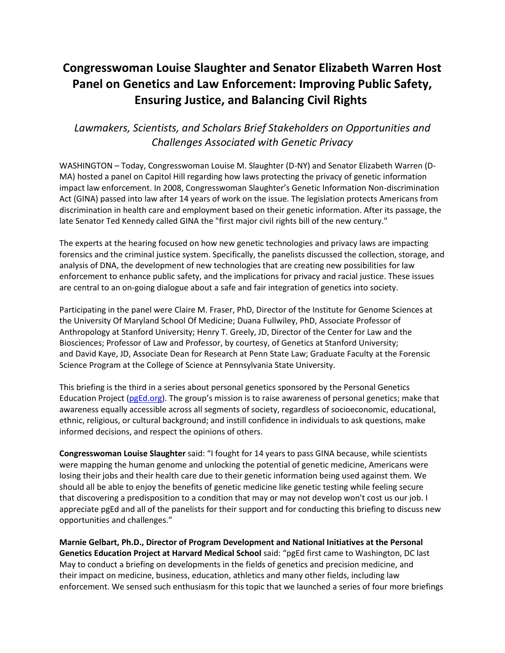## **Congresswoman Louise Slaughter and Senator Elizabeth Warren Host Panel on Genetics and Law Enforcement: Improving Public Safety, Ensuring Justice, and Balancing Civil Rights**

## *Lawmakers, Scientists, and Scholars Brief Stakeholders on Opportunities and Challenges Associated with Genetic Privacy*

WASHINGTON – Today, Congresswoman Louise M. Slaughter (D-NY) and Senator Elizabeth Warren (D-MA) hosted a panel on Capitol Hill regarding how laws protecting the privacy of genetic information impact law enforcement. In 2008, Congresswoman Slaughter's Genetic Information Non-discrimination Act (GINA) passed into law after 14 years of work on the issue. The legislation protects Americans from discrimination in health care and employment based on their genetic information. After its passage, the late Senator Ted Kennedy called GINA the "first major civil rights bill of the new century."

The experts at the hearing focused on how new genetic technologies and privacy laws are impacting forensics and the criminal justice system. Specifically, the panelists discussed the collection, storage, and analysis of DNA, the development of new technologies that are creating new possibilities for law enforcement to enhance public safety, and the implications for privacy and racial justice. These issues are central to an on-going dialogue about a safe and fair integration of genetics into society.

Participating in the panel were Claire M. Fraser, PhD, Director of the Institute for Genome Sciences at the University Of Maryland School Of Medicine; Duana Fullwiley, PhD, Associate Professor of Anthropology at Stanford University; Henry T. Greely, JD, Director of the Center for Law and the Biosciences; Professor of Law and Professor, by courtesy, of Genetics at Stanford University; and David Kaye, JD, Associate Dean for Research at Penn State Law; Graduate Faculty at the Forensic Science Program at the College of Science at Pennsylvania State University.

This briefing is the third in a series about personal genetics sponsored by the Personal Genetics Education Project [\(pgEd.org](http://pged.org/)). The group's mission is to raise awareness of personal genetics; make that awareness equally accessible across all segments of society, regardless of socioeconomic, educational, ethnic, religious, or cultural background; and instill confidence in individuals to ask questions, make informed decisions, and respect the opinions of others.

**Congresswoman Louise Slaughter** said: "I fought for 14 years to pass GINA because, while scientists were mapping the human genome and unlocking the potential of genetic medicine, Americans were losing their jobs and their health care due to their genetic information being used against them. We should all be able to enjoy the benefits of genetic medicine like genetic testing while feeling secure that discovering a predisposition to a condition that may or may not develop won't cost us our job. I appreciate pgEd and all of the panelists for their support and for conducting this briefing to discuss new opportunities and challenges."

**Marnie Gelbart, Ph.D., Director of Program Development and National Initiatives at the Personal Genetics Education Project at Harvard Medical School** said: "pgEd first came to Washington, DC last May to conduct a briefing on developments in the fields of genetics and precision medicine, and their impact on medicine, business, education, athletics and many other fields, including law enforcement. We sensed such enthusiasm for this topic that we launched a series of four more briefings